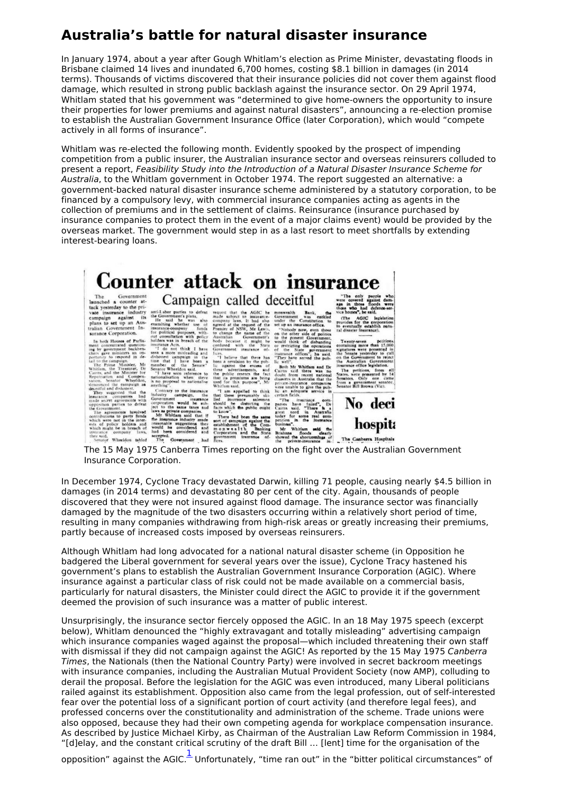## **Australia's battle for natural disaster insurance**

In January 1974, about a year after Gough Whitlam's election as Prime Minister, devastating floods in Brisbane claimed 14 lives and inundated 6,700 homes, costing \$8.1 billion in damages (in 2014 terms). Thousands of victims discovered that their insurance policies did not cover them against flood damage, which resulted in strong public backlash against the insurance sector. On 29 April 1974, Whitlam stated that his government was "determined to give home-owners the opportunity to insure their properties for lower premiums and against natural disasters", announcing a re-election promise to establish the Australian Government Insurance Office (later Corporation), which would "compete actively in all forms of insurance".

Whitlam was re-elected the following month. Evidently spooked by the prospect of impending competition from a public insurer, the Australian insurance sector and overseas reinsurers colluded to present a report, Feasibility Study into the Introduction of a Natural Disaster Insurance Scheme for Australia, to the Whitlam government in October 1974. The report suggested an alternative: a government-backed natural disaster insurance scheme administered by a statutory corporation, to be financed by a compulsory levy, with commercial insurance companies acting as agents in the collection of premiums and in the settlement of claims. Reinsurance (insurance purchased by insurance companies to protect them in the event of a major claims event) would be provided by the overseas market. The government would step in as a last resort to meet shortfalls by extending interest-bearing loans.

# Counter attack on insurance Campaign called deceitful

 $\begin{tabular}{ll} The & Government  
laanched a counter at-  
tacky setroday to the pri-  
vac insurance industry  
changing against its  
planic Government  
Italian Government In-  
burance Corporation. \end{tabular}$ 

The interaction of  $\mathbf{r}$  and  $\mathbf{r}$  and  $\mathbf{r}$  and  $\mathbf{r}$  and  $\mathbf{r}$  and  $\mathbf{r}$  and  $\mathbf{r}$  and  $\mathbf{r}$  and  $\mathbf{r}$  and  $\mathbf{r}$  and  $\mathbf{r}$  and  $\mathbf{r}$  and  $\mathbf{r}$  and  $\mathbf{r}$  and  $\mathbf{r}$  and  $\mathbf{r}$ 

Bank, was entil

under the Constitution<br>set up an insurance officer<br>"Nobelsy now, even if<br> $\alpha$  the other side of point<br>to the present Government<br>of the Side poeming the operator<br>of the Side government<br>insurance offices," he is<br>"Dey have se

(The AGIC legislation)<br>covides for the corporation<br>beventually establish patu  $\frac{p}{q_0}$ 

signatures<br>the Senate<br>on the Go

Insurance Corporation.

In December 1974, Cyclone Tracy devastated Darwin, killing 71 people, causing nearly \$4.5 billion in damages (in 2014 terms) and devastating 80 per cent of the city. Again, thousands of people discovered that they were not insured against flood damage. The insurance sector was financially damaged by the magnitude of the two disasters occurring within a relatively short period of time, resulting in many companies withdrawing from high-risk areas or greatly increasing their premiums, partly because of increased costs imposed by overseas reinsurers.

Although Whitlam had long advocated for a national natural disaster scheme (in Opposition he badgered the Liberal government for several years over the issue), Cyclone Tracy hastened his government's plans to establish the Australian Government Insurance Corporation (AGIC). Where insurance against a particular class of risk could not be made available on a commercial basis, particularly for natural disasters, the Minister could direct the AGIC to provide it if the government deemed the provision of such insurance was a matter of public interest.

Unsurprisingly, the insurance sector fiercely opposed the AGIC. In an 18 May 1975 speech (excerpt below), Whitlam denounced the "highly extravagant and totally misleading" advertising campaign which insurance companies waged against the proposal—which included threatening their own staff with dismissal if they did not campaign against the AGIC! As reported by the 15 May 1975 Canberra Times, the Nationals (then the National Country Party) were involved in secret backroom meetings with insurance companies, including the Australian Mutual Provident Society (now AMP), colluding to derail the proposal. Before the legislation for the AGIC was even introduced, many Liberal politicians railed against its establishment. Opposition also came from the legal profession, out of self-interested fear over the potential loss of a significant portion of court activity (and therefore legal fees), and professed concerns over the constitutionality and administration of the scheme. Trade unions were also opposed, because they had their own competing agenda for workplace compensation insurance. As described by Justice Michael Kirby, as Chairman of the Australian Law Reform Commission in 1984, "[d]elay, and the constant critical scrutiny of the draft Bill … [lent] time for the organisation of the

<span id="page-0-0"></span>opposition" against the AGIC. $\frac{1}{\cdot}$  $\frac{1}{\cdot}$  $\frac{1}{\cdot}$  Unfortunately, "time ran out" in the "bitter political circumstances" of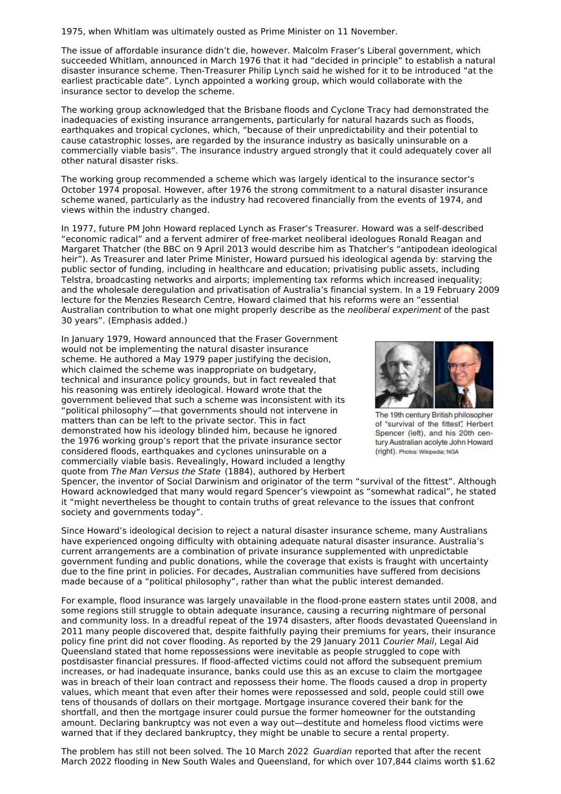1975, when Whitlam was ultimately ousted as Prime Minister on 11 November.

The issue of affordable insurance didn't die, however. Malcolm Fraser's Liberal government, which succeeded Whitlam, announced in March 1976 that it had "decided in principle" to establish a natural disaster insurance scheme. Then-Treasurer Philip Lynch said he wished for it to be introduced "at the earliest practicable date". Lynch appointed a working group, which would collaborate with the insurance sector to develop the scheme.

The working group acknowledged that the Brisbane floods and Cyclone Tracy had demonstrated the inadequacies of existing insurance arrangements, particularly for natural hazards such as floods, earthquakes and tropical cyclones, which, "because of their unpredictability and their potential to cause catastrophic losses, are regarded by the insurance industry as basically uninsurable on a commercially viable basis". The insurance industry argued strongly that it could adequately cover all other natural disaster risks.

The working group recommended a scheme which was largely identical to the insurance sector's October 1974 proposal. However, after 1976 the strong commitment to a natural disaster insurance scheme waned, particularly as the industry had recovered financially from the events of 1974, and views within the industry changed.

In 1977, future PM John Howard replaced Lynch as Fraser's Treasurer. Howard was a self-described "economic radical" and a fervent admirer of free-market neoliberal ideologues Ronald Reagan and Margaret Thatcher (the BBC on 9 April 2013 would describe him as Thatcher's "antipodean ideological heir"). As Treasurer and later Prime Minister, Howard pursued his ideological agenda by: starving the public sector of funding, including in healthcare and education; privatising public assets, including Telstra, broadcasting networks and airports; implementing tax reforms which increased inequality; and the wholesale deregulation and privatisation of Australia's financial system. In a 19 February 2009 lecture for the Menzies Research Centre, Howard claimed that his reforms were an "essential Australian contribution to what one might properly describe as the neoliberal experiment of the past 30 years". (Emphasis added.)

In January 1979, Howard announced that the Fraser Government would not be implementing the natural disaster insurance scheme. He authored a May 1979 paper justifying the decision, which claimed the scheme was inappropriate on budgetary, technical and insurance policy grounds, but in fact revealed that his reasoning was entirely ideological. Howard wrote that the government believed that such a scheme was inconsistent with its "political philosophy"—that governments should not intervene in matters than can be left to the private sector. This in fact demonstrated how his ideology blinded him, because he ignored the 1976 working group's report that the private insurance sector considered floods, earthquakes and cyclones uninsurable on a commercially viable basis. Revealingly, Howard included a lengthy quote from The Man Versus the State (1884), authored by Herbert



The 19th century British philosopher of "survival of the fittest". Herbert Spencer (left), and his 20th century Australian acolyte John Howard (right). Photos: Wikipedia; NGA

Spencer, the inventor of Social Darwinism and originator of the term "survival of the fittest". Although Howard acknowledged that many would regard Spencer's viewpoint as "somewhat radical", he stated it "might nevertheless be thought to contain truths of great relevance to the issues that confront society and governments today".

Since Howard's ideological decision to reject a natural disaster insurance scheme, many Australians have experienced ongoing difficulty with obtaining adequate natural disaster insurance. Australia's current arrangements are a combination of private insurance supplemented with unpredictable government funding and public donations, while the coverage that exists is fraught with uncertainty due to the fine print in policies. For decades, Australian communities have suffered from decisions made because of a "political philosophy", rather than what the public interest demanded.

For example, flood insurance was largely unavailable in the flood-prone eastern states until 2008, and some regions still struggle to obtain adequate insurance, causing a recurring nightmare of personal and community loss. In a dreadful repeat of the 1974 disasters, after floods devastated Queensland in 2011 many people discovered that, despite faithfully paying their premiums for years, their insurance policy fine print did not cover flooding. As reported by the 29 January 2011 Courier Mail, Legal Aid Queensland stated that home repossessions were inevitable as people struggled to cope with postdisaster financial pressures. If flood-affected victims could not afford the subsequent premium increases, or had inadequate insurance, banks could use this as an excuse to claim the mortgagee was in breach of their loan contract and repossess their home. The floods caused a drop in property values, which meant that even after their homes were repossessed and sold, people could still owe tens of thousands of dollars on their mortgage. Mortgage insurance covered their bank for the shortfall, and then the mortgage insurer could pursue the former homeowner for the outstanding amount. Declaring bankruptcy was not even a way out—destitute and homeless flood victims were warned that if they declared bankruptcy, they might be unable to secure a rental property.

The problem has still not been solved. The 10 March 2022 Guardian reported that after the recent March 2022 flooding in New South Wales and Queensland, for which over 107,844 claims worth \$1.62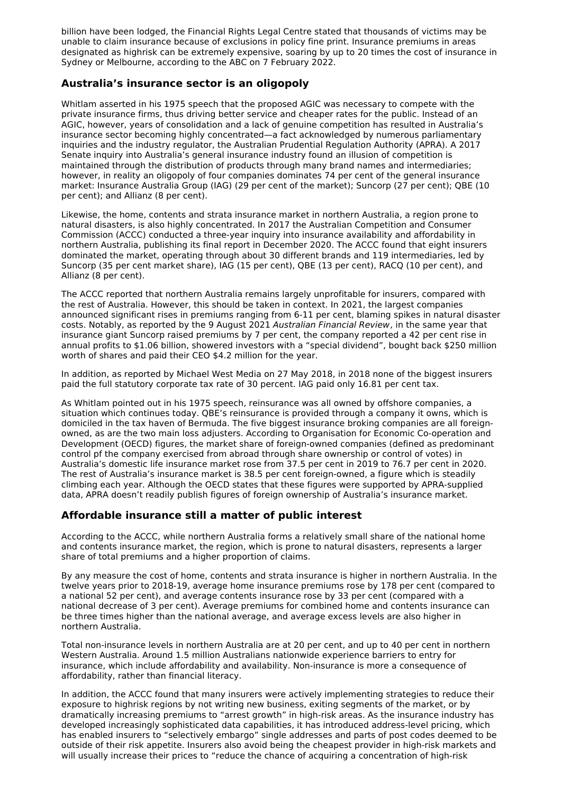billion have been lodged, the Financial Rights Legal Centre stated that thousands of victims may be unable to claim insurance because of exclusions in policy fine print. Insurance premiums in areas designated as highrisk can be extremely expensive, soaring by up to 20 times the cost of insurance in Sydney or Melbourne, according to the ABC on 7 February 2022.

## **Australia's insurance sector is an oligopoly**

Whitlam asserted in his 1975 speech that the proposed AGIC was necessary to compete with the private insurance firms, thus driving better service and cheaper rates for the public. Instead of an AGIC, however, years of consolidation and a lack of genuine competition has resulted in Australia's insurance sector becoming highly concentrated—a fact acknowledged by numerous parliamentary inquiries and the industry regulator, the Australian Prudential Regulation Authority (APRA). A 2017 Senate inquiry into Australia's general insurance industry found an illusion of competition is maintained through the distribution of products through many brand names and intermediaries; however, in reality an oligopoly of four companies dominates 74 per cent of the general insurance market: Insurance Australia Group (IAG) (29 per cent of the market); Suncorp (27 per cent); QBE (10 per cent); and Allianz (8 per cent).

Likewise, the home, contents and strata insurance market in northern Australia, a region prone to natural disasters, is also highly concentrated. In 2017 the Australian Competition and Consumer Commission (ACCC) conducted a three-year inquiry into insurance availability and affordability in northern Australia, publishing its final report in December 2020. The ACCC found that eight insurers dominated the market, operating through about 30 different brands and 119 intermediaries, led by Suncorp (35 per cent market share), IAG (15 per cent), QBE (13 per cent), RACQ (10 per cent), and Allianz (8 per cent).

The ACCC reported that northern Australia remains largely unprofitable for insurers, compared with the rest of Australia. However, this should be taken in context. In 2021, the largest companies announced significant rises in premiums ranging from 6-11 per cent, blaming spikes in natural disaster costs. Notably, as reported by the 9 August 2021 Australian Financial Review, in the same year that insurance giant Suncorp raised premiums by 7 per cent, the company reported a 42 per cent rise in annual profits to \$1.06 billion, showered investors with a "special dividend", bought back \$250 million worth of shares and paid their CEO \$4.2 million for the year.

In addition, as reported by Michael West Media on 27 May 2018, in 2018 none of the biggest insurers paid the full statutory corporate tax rate of 30 percent. IAG paid only 16.81 per cent tax.

As Whitlam pointed out in his 1975 speech, reinsurance was all owned by offshore companies, a situation which continues today. QBE's reinsurance is provided through a company it owns, which is domiciled in the tax haven of Bermuda. The five biggest insurance broking companies are all foreignowned, as are the two main loss adjusters. According to Organisation for Economic Co-operation and Development (OECD) figures, the market share of foreign-owned companies (defined as predominant control pf the company exercised from abroad through share ownership or control of votes) in Australia's domestic life insurance market rose from 37.5 per cent in 2019 to 76.7 per cent in 2020. The rest of Australia's insurance market is 38.5 per cent foreign-owned, a figure which is steadily climbing each year. Although the OECD states that these figures were supported by APRA-supplied data, APRA doesn't readily publish figures of foreign ownership of Australia's insurance market.

## **Affordable insurance still a matter of public interest**

According to the ACCC, while northern Australia forms a relatively small share of the national home and contents insurance market, the region, which is prone to natural disasters, represents a larger share of total premiums and a higher proportion of claims.

By any measure the cost of home, contents and strata insurance is higher in northern Australia. In the twelve years prior to 2018-19, average home insurance premiums rose by 178 per cent (compared to a national 52 per cent), and average contents insurance rose by 33 per cent (compared with a national decrease of 3 per cent). Average premiums for combined home and contents insurance can be three times higher than the national average, and average excess levels are also higher in northern Australia.

Total non-insurance levels in northern Australia are at 20 per cent, and up to 40 per cent in northern Western Australia. Around 1.5 million Australians nationwide experience barriers to entry for insurance, which include affordability and availability. Non-insurance is more a consequence of affordability, rather than financial literacy.

In addition, the ACCC found that many insurers were actively implementing strategies to reduce their exposure to highrisk regions by not writing new business, exiting segments of the market, or by dramatically increasing premiums to "arrest growth" in high-risk areas. As the insurance industry has developed increasingly sophisticated data capabilities, it has introduced address-level pricing, which has enabled insurers to "selectively embargo" single addresses and parts of post codes deemed to be outside of their risk appetite. Insurers also avoid being the cheapest provider in high-risk markets and will usually increase their prices to "reduce the chance of acquiring a concentration of high-risk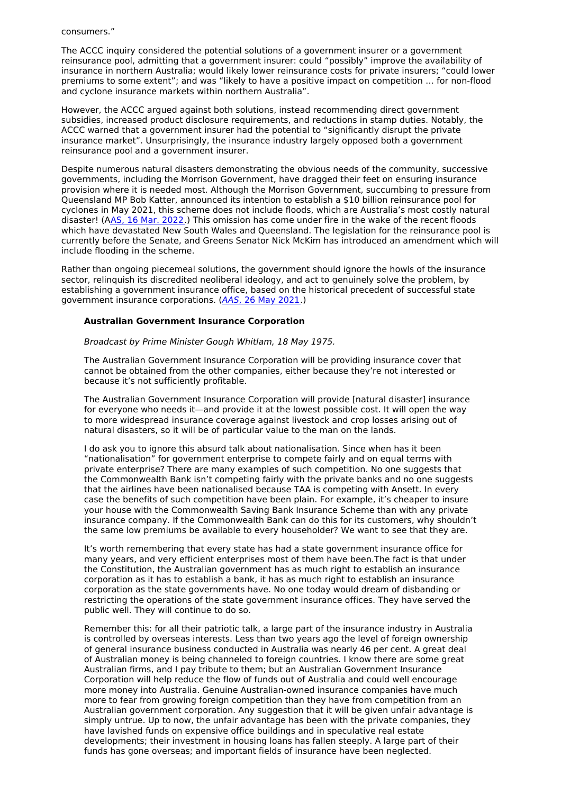#### consumers."

The ACCC inquiry considered the potential solutions of a government insurer or a government reinsurance pool, admitting that a government insurer: could "possibly" improve the availability of insurance in northern Australia; would likely lower reinsurance costs for private insurers; "could lower premiums to some extent"; and was "likely to have a positive impact on competition … for non-flood and cyclone insurance markets within northern Australia".

However, the ACCC argued against both solutions, instead recommending direct government subsidies, increased product disclosure requirements, and reductions in stamp duties. Notably, the ACCC warned that a government insurer had the potential to "significantly disrupt the private insurance market". Unsurprisingly, the insurance industry largely opposed both a government reinsurance pool and a government insurer.

Despite numerous natural disasters demonstrating the obvious needs of the community, successive governments, including the Morrison Government, have dragged their feet on ensuring insurance provision where it is needed most. Although the Morrison Government, succumbing to pressure from Queensland MP Bob Katter, announced its intention to establish a \$10 billion reinsurance pool for cyclones in May 2021, this scheme does not include floods, which are Australia's most costly natural disaster! (AAS, 16 Mar. [2022](https://citizensparty.org.au/australias-laughable-flood-prevention-recurring-tragedy).) This omission has come under fire in the wake of the recent floods which have devastated New South Wales and Queensland. The legislation for the reinsurance pool is currently before the Senate, and Greens Senator Nick McKim has introduced an amendment which will include flooding in the scheme.

Rather than ongoing piecemeal solutions, the government should ignore the howls of the insurance sector, relinquish its discredited neoliberal ideology, and act to genuinely solve the problem, by establishing a government insurance office, based on the historical precedent of successful state government insurance corporations. (AAS, 26 May [2021](https://citizensparty.org.au/government-has-important-role-insurance).)

#### **Australian Government Insurance Corporation**

Broadcast by Prime Minister Gough Whitlam, 18 May 1975.

The Australian Government Insurance Corporation will be providing insurance cover that cannot be obtained from the other companies, either because they're not interested or because it's not sufficiently profitable.

The Australian Government Insurance Corporation will provide [natural disaster] insurance for everyone who needs it—and provide it at the lowest possible cost. It will open the way to more widespread insurance coverage against livestock and crop losses arising out of natural disasters, so it will be of particular value to the man on the lands.

I do ask you to ignore this absurd talk about nationalisation. Since when has it been "nationalisation" for government enterprise to compete fairly and on equal terms with private enterprise? There are many examples of such competition. No one suggests that the Commonwealth Bank isn't competing fairly with the private banks and no one suggests that the airlines have been nationalised because TAA is competing with Ansett. In every case the benefits of such competition have been plain. For example, it's cheaper to insure your house with the Commonwealth Saving Bank Insurance Scheme than with any private insurance company. If the Commonwealth Bank can do this for its customers, why shouldn't the same low premiums be available to every householder? We want to see that they are.

It's worth remembering that every state has had a state government insurance office for many years, and very efficient enterprises most of them have been.The fact is that under the Constitution, the Australian government has as much right to establish an insurance corporation as it has to establish a bank, it has as much right to establish an insurance corporation as the state governments have. No one today would dream of disbanding or restricting the operations of the state government insurance offices. They have served the public well. They will continue to do so.

Remember this: for all their patriotic talk, a large part of the insurance industry in Australia is controlled by overseas interests. Less than two years ago the level of foreign ownership of general insurance business conducted in Australia was nearly 46 per cent. A great deal of Australian money is being channeled to foreign countries. I know there are some great Australian firms, and I pay tribute to them; but an Australian Government Insurance Corporation will help reduce the flow of funds out of Australia and could well encourage more money into Australia. Genuine Australian-owned insurance companies have much more to fear from growing foreign competition than they have from competition from an Australian government corporation. Any suggestion that it will be given unfair advantage is simply untrue. Up to now, the unfair advantage has been with the private companies, they have lavished funds on expensive office buildings and in speculative real estate developments; their investment in housing loans has fallen steeply. A large part of their funds has gone overseas; and important fields of insurance have been neglected.